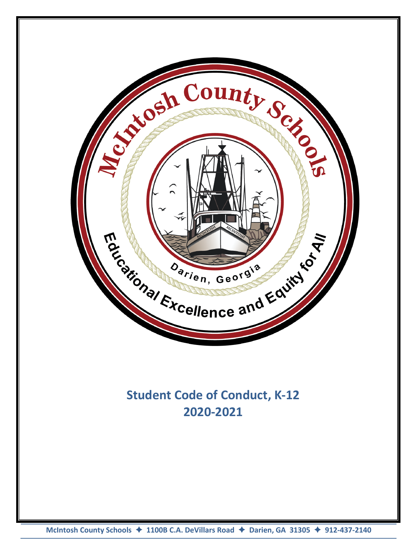

# **Student Code of Conduct, K-12 2020-2021**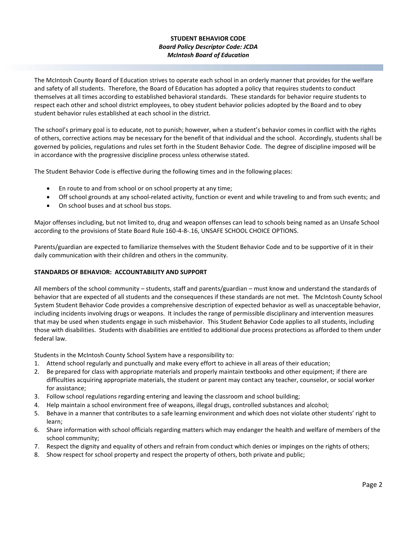# **STUDENT BEHAVIOR CODE** *Board Policy Descriptor Code: JCDA McIntosh Board of Education*

The McIntosh County Board of Education strives to operate each school in an orderly manner that provides for the welfare and safety of all students. Therefore, the Board of Education has adopted a policy that requires students to conduct themselves at all times according to established behavioral standards. These standards for behavior require students to respect each other and school district employees, to obey student behavior policies adopted by the Board and to obey student behavior rules established at each school in the district.

The school's primary goal is to educate, not to punish; however, when a student's behavior comes in conflict with the rights of others, corrective actions may be necessary for the benefit of that individual and the school. Accordingly, students shall be governed by policies, regulations and rules set forth in the Student Behavior Code. The degree of discipline imposed will be in accordance with the progressive discipline process unless otherwise stated.

The Student Behavior Code is effective during the following times and in the following places:

- En route to and from school or on school property at any time;
- Off school grounds at any school-related activity, function or event and while traveling to and from such events; and
- On school buses and at school bus stops.

Major offenses including, but not limited to, drug and weapon offenses can lead to schools being named as an Unsafe School according to the provisions of State Board Rule 160-4-8-.16, UNSAFE SCHOOL CHOICE OPTIONS.

Parents/guardian are expected to familiarize themselves with the Student Behavior Code and to be supportive of it in their daily communication with their children and others in the community.

# **STANDARDS OF BEHAVIOR: ACCOUNTABILITY AND SUPPORT**

All members of the school community – students, staff and parents/guardian – must know and understand the standards of behavior that are expected of all students and the consequences if these standards are not met. The McIntosh County School System Student Behavior Code provides a comprehensive description of expected behavior as well as unacceptable behavior, including incidents involving drugs or weapons. It includes the range of permissible disciplinary and intervention measures that may be used when students engage in such misbehavior. This Student Behavior Code applies to all students, including those with disabilities. Students with disabilities are entitled to additional due process protections as afforded to them under federal law.

Students in the McIntosh County School System have a responsibility to:

- 1. Attend school regularly and punctually and make every effort to achieve in all areas of their education;
- 2. Be prepared for class with appropriate materials and properly maintain textbooks and other equipment; if there are difficulties acquiring appropriate materials, the student or parent may contact any teacher, counselor, or social worker for assistance;
- 3. Follow school regulations regarding entering and leaving the classroom and school building;
- 4. Help maintain a school environment free of weapons, illegal drugs, controlled substances and alcohol;
- 5. Behave in a manner that contributes to a safe learning environment and which does not violate other students' right to learn;
- 6. Share information with school officials regarding matters which may endanger the health and welfare of members of the school community;
- 7. Respect the dignity and equality of others and refrain from conduct which denies or impinges on the rights of others;
- 8. Show respect for school property and respect the property of others, both private and public;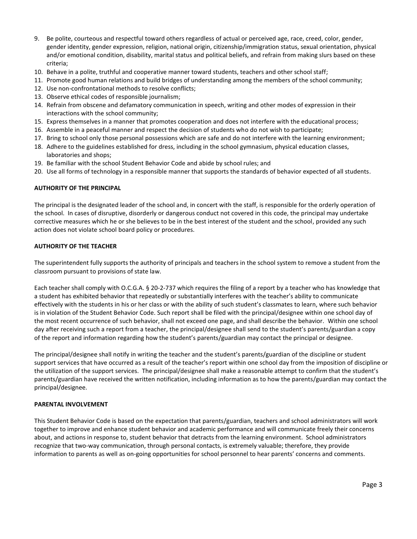- 9. Be polite, courteous and respectful toward others regardless of actual or perceived age, race, creed, color, gender, gender identity, gender expression, religion, national origin, citizenship/immigration status, sexual orientation, physical and/or emotional condition, disability, marital status and political beliefs, and refrain from making slurs based on these criteria;
- 10. Behave in a polite, truthful and cooperative manner toward students, teachers and other school staff;
- 11. Promote good human relations and build bridges of understanding among the members of the school community;
- 12. Use non-confrontational methods to resolve conflicts;
- 13. Observe ethical codes of responsible journalism;
- 14. Refrain from obscene and defamatory communication in speech, writing and other modes of expression in their interactions with the school community;
- 15. Express themselves in a manner that promotes cooperation and does not interfere with the educational process;
- 16. Assemble in a peaceful manner and respect the decision of students who do not wish to participate;
- 17. Bring to school only those personal possessions which are safe and do not interfere with the learning environment;
- 18. Adhere to the guidelines established for dress, including in the school gymnasium, physical education classes, laboratories and shops;
- 19. Be familiar with the school Student Behavior Code and abide by school rules; and
- 20. Use all forms of technology in a responsible manner that supports the standards of behavior expected of all students.

## **AUTHORITY OF THE PRINCIPAL**

The principal is the designated leader of the school and, in concert with the staff, is responsible for the orderly operation of the school. In cases of disruptive, disorderly or dangerous conduct not covered in this code, the principal may undertake corrective measures which he or she believes to be in the best interest of the student and the school, provided any such action does not violate school board policy or procedures.

## **AUTHORITY OF THE TEACHER**

The superintendent fully supports the authority of principals and teachers in the school system to remove a student from the classroom pursuant to provisions of state law.

Each teacher shall comply with O.C.G.A. § 20-2-737 which requires the filing of a report by a teacher who has knowledge that a student has exhibited behavior that repeatedly or substantially interferes with the teacher's ability to communicate effectively with the students in his or her class or with the ability of such student's classmates to learn, where such behavior is in violation of the Student Behavior Code. Such report shall be filed with the principal/designee within one school day of the most recent occurrence of such behavior, shall not exceed one page, and shall describe the behavior. Within one school day after receiving such a report from a teacher, the principal/designee shall send to the student's parents/guardian a copy of the report and information regarding how the student's parents/guardian may contact the principal or designee.

The principal/designee shall notify in writing the teacher and the student's parents/guardian of the discipline or student support services that have occurred as a result of the teacher's report within one school day from the imposition of discipline or the utilization of the support services. The principal/designee shall make a reasonable attempt to confirm that the student's parents/guardian have received the written notification, including information as to how the parents/guardian may contact the principal/designee.

## **PARENTAL INVOLVEMENT**

This Student Behavior Code is based on the expectation that parents/guardian, teachers and school administrators will work together to improve and enhance student behavior and academic performance and will communicate freely their concerns about, and actions in response to, student behavior that detracts from the learning environment. School administrators recognize that two-way communication, through personal contacts, is extremely valuable; therefore, they provide information to parents as well as on-going opportunities for school personnel to hear parents' concerns and comments.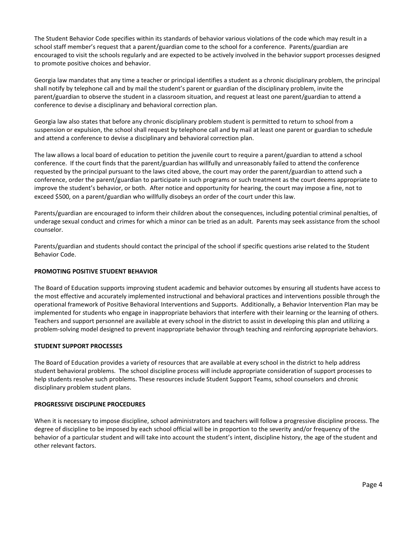The Student Behavior Code specifies within its standards of behavior various violations of the code which may result in a school staff member's request that a parent/guardian come to the school for a conference. Parents/guardian are encouraged to visit the schools regularly and are expected to be actively involved in the behavior support processes designed to promote positive choices and behavior.

Georgia law mandates that any time a teacher or principal identifies a student as a chronic disciplinary problem, the principal shall notify by telephone call and by mail the student's parent or guardian of the disciplinary problem, invite the parent/guardian to observe the student in a classroom situation, and request at least one parent/guardian to attend a conference to devise a disciplinary and behavioral correction plan.

Georgia law also states that before any chronic disciplinary problem student is permitted to return to school from a suspension or expulsion, the school shall request by telephone call and by mail at least one parent or guardian to schedule and attend a conference to devise a disciplinary and behavioral correction plan.

The law allows a local board of education to petition the juvenile court to require a parent/guardian to attend a school conference. If the court finds that the parent/guardian has willfully and unreasonably failed to attend the conference requested by the principal pursuant to the laws cited above, the court may order the parent/guardian to attend such a conference, order the parent/guardian to participate in such programs or such treatment as the court deems appropriate to improve the student's behavior, or both. After notice and opportunity for hearing, the court may impose a fine, not to exceed \$500, on a parent/guardian who willfully disobeys an order of the court under this law.

Parents/guardian are encouraged to inform their children about the consequences, including potential criminal penalties, of underage sexual conduct and crimes for which a minor can be tried as an adult. Parents may seek assistance from the school counselor.

Parents/guardian and students should contact the principal of the school if specific questions arise related to the Student Behavior Code.

## **PROMOTING POSITIVE STUDENT BEHAVIOR**

The Board of Education supports improving student academic and behavior outcomes by ensuring all students have access to the most effective and accurately implemented instructional and behavioral practices and interventions possible through the operational framework of Positive Behavioral Interventions and Supports. Additionally, a Behavior Intervention Plan may be implemented for students who engage in inappropriate behaviors that interfere with their learning or the learning of others. Teachers and support personnel are available at every school in the district to assist in developing this plan and utilizing a problem-solving model designed to prevent inappropriate behavior through teaching and reinforcing appropriate behaviors.

#### **STUDENT SUPPORT PROCESSES**

The Board of Education provides a variety of resources that are available at every school in the district to help address student behavioral problems. The school discipline process will include appropriate consideration of support processes to help students resolve such problems. These resources include Student Support Teams, school counselors and chronic disciplinary problem student plans.

#### **PROGRESSIVE DISCIPLINE PROCEDURES**

When it is necessary to impose discipline, school administrators and teachers will follow a progressive discipline process. The degree of discipline to be imposed by each school official will be in proportion to the severity and/or frequency of the behavior of a particular student and will take into account the student's intent, discipline history, the age of the student and other relevant factors.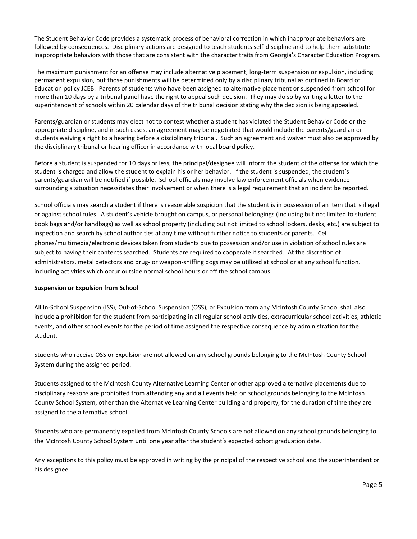The Student Behavior Code provides a systematic process of behavioral correction in which inappropriate behaviors are followed by consequences. Disciplinary actions are designed to teach students self-discipline and to help them substitute inappropriate behaviors with those that are consistent with the character traits from Georgia's Character Education Program.

The maximum punishment for an offense may include alternative placement, long-term suspension or expulsion, including permanent expulsion, but those punishments will be determined only by a disciplinary tribunal as outlined in Board of Education policy JCEB. Parents of students who have been assigned to alternative placement or suspended from school for more than 10 days by a tribunal panel have the right to appeal such decision. They may do so by writing a letter to the superintendent of schools within 20 calendar days of the tribunal decision stating why the decision is being appealed.

Parents/guardian or students may elect not to contest whether a student has violated the Student Behavior Code or the appropriate discipline, and in such cases, an agreement may be negotiated that would include the parents/guardian or students waiving a right to a hearing before a disciplinary tribunal. Such an agreement and waiver must also be approved by the disciplinary tribunal or hearing officer in accordance with local board policy.

Before a student is suspended for 10 days or less, the principal/designee will inform the student of the offense for which the student is charged and allow the student to explain his or her behavior. If the student is suspended, the student's parents/guardian will be notified if possible. School officials may involve law enforcement officials when evidence surrounding a situation necessitates their involvement or when there is a legal requirement that an incident be reported.

School officials may search a student if there is reasonable suspicion that the student is in possession of an item that is illegal or against school rules. A student's vehicle brought on campus, or personal belongings (including but not limited to student book bags and/or handbags) as well as school property (including but not limited to school lockers, desks, etc.) are subject to inspection and search by school authorities at any time without further notice to students or parents. Cell phones/multimedia/electronic devices taken from students due to possession and/or use in violation of school rules are subject to having their contents searched. Students are required to cooperate if searched. At the discretion of administrators, metal detectors and drug- or weapon-sniffing dogs may be utilized at school or at any school function, including activities which occur outside normal school hours or off the school campus.

## **Suspension or Expulsion from School**

All In-School Suspension (ISS), Out-of-School Suspension (OSS), or Expulsion from any McIntosh County School shall also include a prohibition for the student from participating in all regular school activities, extracurricular school activities, athletic events, and other school events for the period of time assigned the respective consequence by administration for the student.

Students who receive OSS or Expulsion are not allowed on any school grounds belonging to the McIntosh County School System during the assigned period.

Students assigned to the McIntosh County Alternative Learning Center or other approved alternative placements due to disciplinary reasons are prohibited from attending any and all events held on school grounds belonging to the McIntosh County School System, other than the Alternative Learning Center building and property, for the duration of time they are assigned to the alternative school.

Students who are permanently expelled from McIntosh County Schools are not allowed on any school grounds belonging to the McIntosh County School System until one year after the student's expected cohort graduation date.

Any exceptions to this policy must be approved in writing by the principal of the respective school and the superintendent or his designee.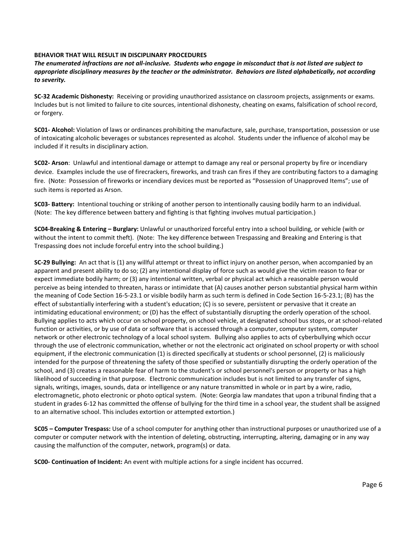#### **BEHAVIOR THAT WILL RESULT IN DISCIPLINARY PROCEDURES**

*The enumerated infractions are not all-inclusive. Students who engage in misconduct that is not listed are subject to appropriate disciplinary measures by the teacher or the administrator. Behaviors are listed alphabetically, not according to severity.*

**SC-32 Academic Dishonesty:** Receiving or providing unauthorized assistance on classroom projects, assignments or exams. Includes but is not limited to failure to cite sources, intentional dishonesty, cheating on exams, falsification of school record, or forgery.

**SC01- Alcohol:** Violation of laws or ordinances prohibiting the manufacture, sale, purchase, transportation, possession or use of intoxicating alcoholic beverages or substances represented as alcohol. Students under the influence of alcohol may be included if it results in disciplinary action.

**SC02- Arson**: Unlawful and intentional damage or attempt to damage any real or personal property by fire or incendiary device. Examples include the use of firecrackers, fireworks, and trash can fires if they are contributing factors to a damaging fire. (Note: Possession of fireworks or incendiary devices must be reported as "Possession of Unapproved Items"; use of such items is reported as Arson.

**SC03- Battery:** Intentional touching or striking of another person to intentionally causing bodily harm to an individual. (Note: The key difference between battery and fighting is that fighting involves mutual participation.)

**SC04-Breaking & Entering – Burglary:** Unlawful or unauthorized forceful entry into a school building, or vehicle (with or without the intent to commit theft). (Note: The key difference between Trespassing and Breaking and Entering is that Trespassing does not include forceful entry into the school building.)

**SC-29 Bullying:** An act that is (1) any willful attempt or threat to inflict injury on another person, when accompanied by an apparent and present ability to do so; (2) any intentional display of force such as would give the victim reason to fear or expect immediate bodily harm; or (3) any intentional written, verbal or physical act which a reasonable person would perceive as being intended to threaten, harass or intimidate that (A) causes another person substantial physical harm within the meaning of Code Section 16-5-23.1 or visible bodily harm as such term is defined in Code Section 16-5-23.1; (B) has the effect of substantially interfering with a student's education; (C) is so severe, persistent or pervasive that it create an intimidating educational environment; or (D) has the effect of substantially disrupting the orderly operation of the school. Bullying applies to acts which occur on school property, on school vehicle, at designated school bus stops, or at school-related function or activities, or by use of data or software that is accessed through a computer, computer system, computer network or other electronic technology of a local school system. Bullying also applies to acts of cyberbullying which occur through the use of electronic communication, whether or not the electronic act originated on school property or with school equipment, if the electronic communication (1) is directed specifically at students or school personnel, (2) is maliciously intended for the purpose of threatening the safety of those specified or substantially disrupting the orderly operation of the school, and (3) creates a reasonable fear of harm to the student's or school personnel's person or property or has a high likelihood of succeeding in that purpose. Electronic communication includes but is not limited to any transfer of signs, signals, writings, images, sounds, data or intelligence or any nature transmitted in whole or in part by a wire, radio, electromagnetic, photo electronic or photo optical system. (Note: Georgia law mandates that upon a tribunal finding that a student in grades 6-12 has committed the offense of bullying for the third time in a school year, the student shall be assigned to an alternative school. This includes extortion or attempted extortion.)

**SC05 – Computer Trespass:** Use of a school computer for anything other than instructional purposes or unauthorized use of a computer or computer network with the intention of deleting, obstructing, interrupting, altering, damaging or in any way causing the malfunction of the computer, network, program(s) or data.

**SC00- Continuation of Incident:** An event with multiple actions for a single incident has occurred.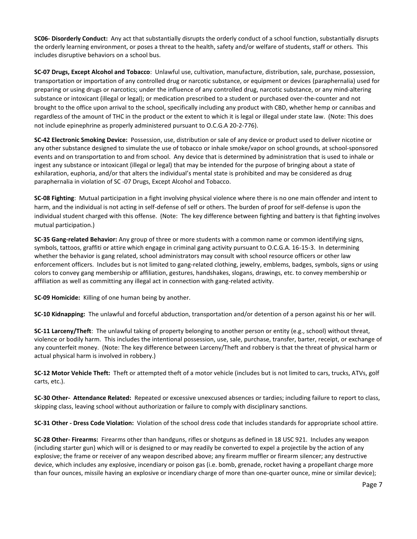**SC06- Disorderly Conduct:** Any act that substantially disrupts the orderly conduct of a school function, substantially disrupts the orderly learning environment, or poses a threat to the health, safety and/or welfare of students, staff or others. This includes disruptive behaviors on a school bus.

**SC-07 Drugs, Except Alcohol and Tobacco**: Unlawful use, cultivation, manufacture, distribution, sale, purchase, possession, transportation or importation of any controlled drug or narcotic substance, or equipment or devices (paraphernalia) used for preparing or using drugs or narcotics; under the influence of any controlled drug, narcotic substance, or any mind-altering substance or intoxicant (illegal or legal); or medication prescribed to a student or purchased over-the-counter and not brought to the office upon arrival to the school, specifically including any product with CBD, whether hemp or cannibas and regardless of the amount of THC in the product or the extent to which it is legal or illegal under state law. (Note: This does not include epinephrine as properly administered pursuant to O.C.G.A 20-2-776).

**SC-42 Electronic Smoking Device:** Possession, use, distribution or sale of any device or product used to deliver nicotine or any other substance designed to simulate the use of tobacco or inhale smoke/vapor on school grounds, at school-sponsored events and on transportation to and from school. Any device that is determined by administration that is used to inhale or ingest any substance or intoxicant (illegal or legal) that may be intended for the purpose of bringing about a state of exhilaration, euphoria, and/or that alters the individual's mental state is prohibited and may be considered as drug paraphernalia in violation of SC -07 Drugs, Except Alcohol and Tobacco.

**SC-08 Fighting**: Mutual participation in a fight involving physical violence where there is no one main offender and intent to harm, and the individual is not acting in self-defense of self or others. The burden of proof for self-defense is upon the individual student charged with this offense. (Note: The key difference between fighting and battery is that fighting involves mutual participation.)

**SC-35 Gang-related Behavior:** Any group of three or more students with a common name or common identifying signs, symbols, tattoos, graffiti or attire which engage in criminal gang activity pursuant to O.C.G.A. 16-15-3. In determining whether the behavior is gang related, school administrators may consult with school resource officers or other law enforcement officers. Includes but is not limited to gang-related clothing, jewelry, emblems, badges, symbols, signs or using colors to convey gang membership or affiliation, gestures, handshakes, slogans, drawings, etc. to convey membership or affiliation as well as committing any illegal act in connection with gang-related activity.

**SC-09 Homicide:** Killing of one human being by another.

**SC-10 Kidnapping:** The unlawful and forceful abduction, transportation and/or detention of a person against his or her will.

**SC-11 Larceny/Theft**: The unlawful taking of property belonging to another person or entity (e.g., school) without threat, violence or bodily harm. This includes the intentional possession, use, sale, purchase, transfer, barter, receipt, or exchange of any counterfeit money. (Note: The key difference between Larceny/Theft and robbery is that the threat of physical harm or actual physical harm is involved in robbery.)

**SC-12 Motor Vehicle Theft:** Theft or attempted theft of a motor vehicle (includes but is not limited to cars, trucks, ATVs, golf carts, etc.).

**SC-30 Other- Attendance Related:** Repeated or excessive unexcused absences or tardies; including failure to report to class, skipping class, leaving school without authorization or failure to comply with disciplinary sanctions.

**SC-31 Other - Dress Code Violation:** Violation of the school dress code that includes standards for appropriate school attire.

**SC-28 Other- Firearms:** Firearms other than handguns, rifles or shotguns as defined in 18 USC 921. Includes any weapon (including starter gun) which will or is designed to or may readily be converted to expel a projectile by the action of any explosive; the frame or receiver of any weapon described above; any firearm muffler or firearm silencer; any destructive device, which includes any explosive, incendiary or poison gas (i.e. bomb, grenade, rocket having a propellant charge more than four ounces, missile having an explosive or incendiary charge of more than one-quarter ounce, mine or similar device);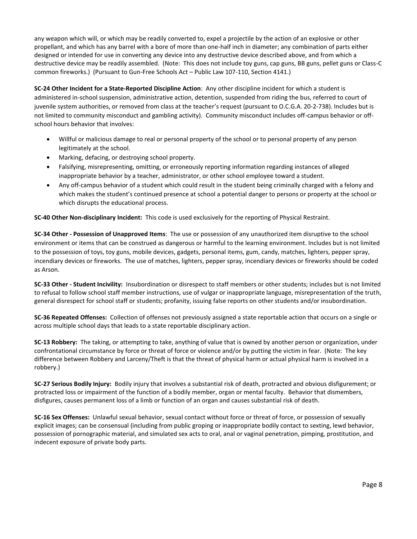any weapon which will, or which may be readily converted to, expel a projectile by the action of an explosive or other propellant, and which has any barrel with a bore of more than one-half inch in diameter; any combination of parts either designed or intended for use in converting any device into any destructive device described above, and from which a destructive device may be readily assembled. (Note: This does not include toy guns, cap guns, BB guns, pellet guns or Class-C common fireworks.) (Pursuant to Gun-Free Schools Act – Public Law 107-110, Section 4141.)

**SC-24 Other Incident for a State-Reported Discipline Action**: Any other discipline incident for which a student is administered in-school suspension, administrative action, detention, suspended from riding the bus, referred to court of juvenile system authorities, or removed from class at the teacher's request (pursuant to O.C.G.A. 20-2-738). Includes but is not limited to community misconduct and gambling activity). Community misconduct includes off-campus behavior or offschool hours behavior that involves:

- Willful or malicious damage to real or personal property of the school or to personal property of any person legitimately at the school.
- Marking, defacing, or destroying school property.
- Falsifying, misrepresenting, omitting, or erroneously reporting information regarding instances of alleged inappropriate behavior by a teacher, administrator, or other school employee toward a student.
- Any off-campus behavior of a student which could result in the student being criminally charged with a felony and which makes the student's continued presence at school a potential danger to persons or property at the school or which disrupts the educational process.

**SC-40 Other Non-disciplinary Incident:** This code is used exclusively for the reporting of Physical Restraint.

**SC-34 Other - Possession of Unapproved Items**: The use or possession of any unauthorized item disruptive to the school environment or items that can be construed as dangerous or harmful to the learning environment. Includes but is not limited to the possession of toys, toy guns, mobile devices, gadgets, personal items, gum, candy, matches, lighters, pepper spray, incendiary devices or fireworks. The use of matches, lighters, pepper spray, incendiary devices or fireworks should be coded as Arson.

**SC-33 Other - Student Incivility:** Insubordination or disrespect to staff members or other students; includes but is not limited to refusal to follow school staff member instructions, use of vulgar or inappropriate language, misrepresentation of the truth, general disrespect for school staff or students; profanity, issuing false reports on other students and/or insubordination.

**SC-36 Repeated Offenses:** Collection of offenses not previously assigned a state reportable action that occurs on a single or across multiple school days that leads to a state reportable disciplinary action.

**SC-13 Robbery:** The taking, or attempting to take, anything of value that is owned by another person or organization, under confrontational circumstance by force or threat of force or violence and/or by putting the victim in fear. (Note: The key difference between Robbery and Larceny/Theft is that the threat of physical harm or actual physical harm is involved in a robbery.)

**SC-27 Serious Bodily Injury:** Bodily injury that involves a substantial risk of death, protracted and obvious disfigurement; or protracted loss or impairment of the function of a bodily member, organ or mental faculty. Behavior that dismembers, disfigures, causes permanent loss of a limb or function of an organ and causes substantial risk of death.

**SC-16 Sex Offenses:** Unlawful sexual behavior, sexual contact without force or threat of force, or possession of sexually explicit images; can be consensual (including from public groping or inappropriate bodily contact to sexting, lewd behavior, possession of pornographic material, and simulated sex acts to oral, anal or vaginal penetration, pimping, prostitution, and indecent exposure of private body parts.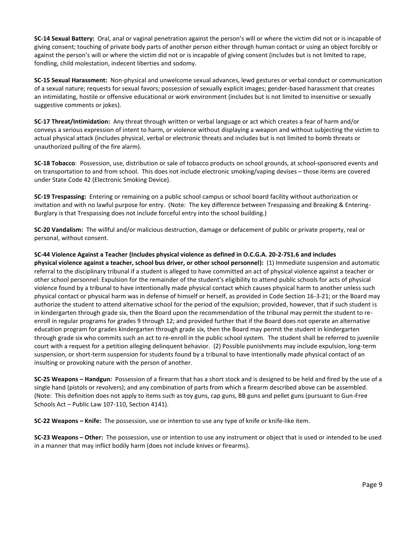**SC-14 Sexual Battery:** Oral, anal or vaginal penetration against the person's will or where the victim did not or is incapable of giving consent; touching of private body parts of another person either through human contact or using an object forcibly or against the person's will or where the victim did not or is incapable of giving consent (includes but is not limited to rape, fondling, child molestation, indecent liberties and sodomy.

**SC-15 Sexual Harassment:** Non-physical and unwelcome sexual advances, lewd gestures or verbal conduct or communication of a sexual nature; requests for sexual favors; possession of sexually explicit images; gender-based harassment that creates an intimidating, hostile or offensive educational or work environment (includes but is not limited to insensitive or sexually suggestive comments or jokes).

**SC-17 Threat/Intimidation:** Any threat through written or verbal language or act which creates a fear of harm and/or conveys a serious expression of intent to harm, or violence without displaying a weapon and without subjecting the victim to actual physical attack (includes physical, verbal or electronic threats and includes but is not limited to bomb threats or unauthorized pulling of the fire alarm).

**SC-18 Tobacco**: Possession, use, distribution or sale of tobacco products on school grounds, at school-sponsored events and on transportation to and from school. This does not include electronic smoking/vaping devises – those items are covered under State Code 42 (Electronic Smoking Device).

**SC-19 Trespassing:** Entering or remaining on a public school campus or school board facility without authorization or invitation and with no lawful purpose for entry. (Note: The key difference between Trespassing and Breaking & Entering-Burglary is that Trespassing does not include forceful entry into the school building.)

**SC-20 Vandalism:** The willful and/or malicious destruction, damage or defacement of public or private property, real or personal, without consent.

**SC-44 Violence Against a Teacher (Includes physical violence as defined in O.C.G.A. 20-2-751.6 and includes physical violence against a teacher, school bus driver, or other school personnel):** (1) Immediate suspension and automatic referral to the disciplinary tribunal if a student is alleged to have committed an act of physical violence against a teacher or other school personnel: Expulsion for the remainder of the student's eligibility to attend public schools for acts of physical violence found by a tribunal to have intentionally made physical contact which causes physical harm to another unless such physical contact or physical harm was in defense of himself or herself, as provided in Code Section 16-3-21; or the Board may authorize the student to attend alternative school for the period of the expulsion; provided, however, that if such student is in kindergarten through grade six, then the Board upon the recommendation of the tribunal may permit the student to reenroll in regular programs for grades 9 through 12; and provided further that if the Board does not operate an alternative education program for grades kindergarten through grade six, then the Board may permit the student in kindergarten through grade six who commits such an act to re-enroll in the public school system. The student shall be referred to juvenile court with a request for a petition alleging delinquent behavior. (2) Possible punishments may include expulsion, long-term suspension, or short-term suspension for students found by a tribunal to have intentionally made physical contact of an insulting or provoking nature with the person of another.

**SC-25 Weapons – Handgun:** Possession of a firearm that has a short stock and is designed to be held and fired by the use of a single hand (pistols or revolvers); and any combination of parts from which a firearm described above can be assembled. (Note: This definition does not apply to items such as toy guns, cap guns, BB guns and pellet guns (pursuant to Gun-Free Schools Act – Public Law 107-110, Section 4141).

**SC-22 Weapons – Knife:** The possession, use or intention to use any type of knife or knife-like item.

**SC-23 Weapons – Other:** The possession, use or intention to use any instrument or object that is used or intended to be used in a manner that may inflict bodily harm (does not include knives or firearms).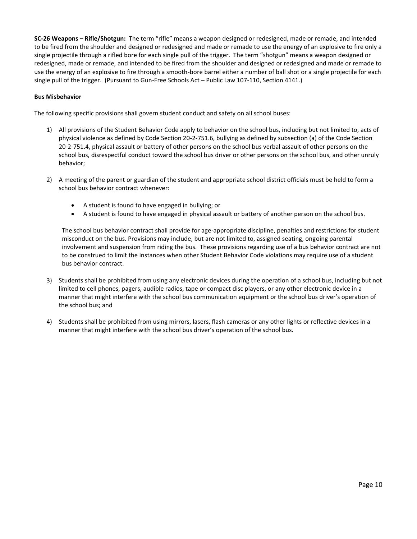**SC-26 Weapons – Rifle/Shotgun:** The term "rifle" means a weapon designed or redesigned, made or remade, and intended to be fired from the shoulder and designed or redesigned and made or remade to use the energy of an explosive to fire only a single projectile through a rifled bore for each single pull of the trigger. The term "shotgun" means a weapon designed or redesigned, made or remade, and intended to be fired from the shoulder and designed or redesigned and made or remade to use the energy of an explosive to fire through a smooth-bore barrel either a number of ball shot or a single projectile for each single pull of the trigger. (Pursuant to Gun-Free Schools Act – Public Law 107-110, Section 4141.)

# **Bus Misbehavior**

The following specific provisions shall govern student conduct and safety on all school buses:

- 1) All provisions of the Student Behavior Code apply to behavior on the school bus, including but not limited to, acts of physical violence as defined by Code Section 20-2-751.6, bullying as defined by subsection (a) of the Code Section 20-2-751.4, physical assault or battery of other persons on the school bus verbal assault of other persons on the school bus, disrespectful conduct toward the school bus driver or other persons on the school bus, and other unruly behavior;
- 2) A meeting of the parent or guardian of the student and appropriate school district officials must be held to form a school bus behavior contract whenever:
	- A student is found to have engaged in bullying; or
	- A student is found to have engaged in physical assault or battery of another person on the school bus.

The school bus behavior contract shall provide for age-appropriate discipline, penalties and restrictions for student misconduct on the bus. Provisions may include, but are not limited to, assigned seating, ongoing parental involvement and suspension from riding the bus. These provisions regarding use of a bus behavior contract are not to be construed to limit the instances when other Student Behavior Code violations may require use of a student bus behavior contract.

- 3) Students shall be prohibited from using any electronic devices during the operation of a school bus, including but not limited to cell phones, pagers, audible radios, tape or compact disc players, or any other electronic device in a manner that might interfere with the school bus communication equipment or the school bus driver's operation of the school bus; and
- 4) Students shall be prohibited from using mirrors, lasers, flash cameras or any other lights or reflective devices in a manner that might interfere with the school bus driver's operation of the school bus.